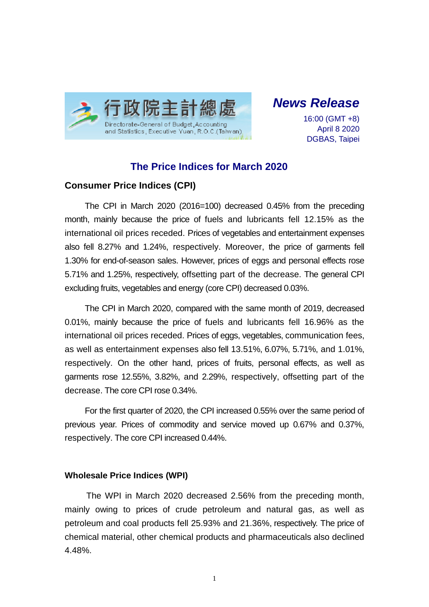

*News Release*

16:00 (GMT +8) April 8 2020 DGBAS, Taipei

# **The Price Indices for March 2020**

## **Consumer Price Indices (CPI)**

The CPI in March 2020 (2016=100) decreased 0.45% from the preceding month, mainly because the price of fuels and lubricants fell 12.15% as the international oil prices receded. Prices of vegetables and entertainment expenses also fell 8.27% and 1.24%, respectively. Moreover, the price of garments fell 1.30% for end-of-season sales. However, prices of eggs and personal effects rose 5.71% and 1.25%, respectively, offsetting part of the decrease. The general CPI excluding fruits, vegetables and energy (core CPI) decreased 0.03%.

The CPI in March 2020, compared with the same month of 2019, decreased 0.01%, mainly because the price of fuels and lubricants fell 16.96% as the international oil prices receded. Prices of eggs, vegetables, communication fees, as well as entertainment expenses also fell 13.51%, 6.07%, 5.71%, and 1.01%, respectively. On the other hand, prices of fruits, personal effects, as well as garments rose 12.55%, 3.82%, and 2.29%, respectively, offsetting part of the decrease. The core CPI rose 0.34%.

For the first quarter of 2020, the CPI increased 0.55% over the same period of previous year. Prices of commodity and service moved up 0.67% and 0.37%, respectively. The core CPI increased 0.44%.

## **Wholesale Price Indices (WPI)**

The WPI in March 2020 decreased 2.56% from the preceding month, mainly owing to prices of crude petroleum and natural gas, as well as petroleum and coal products fell 25.93% and 21.36%, respectively. The price of chemical material, other chemical products and pharmaceuticals also declined 4.48%.